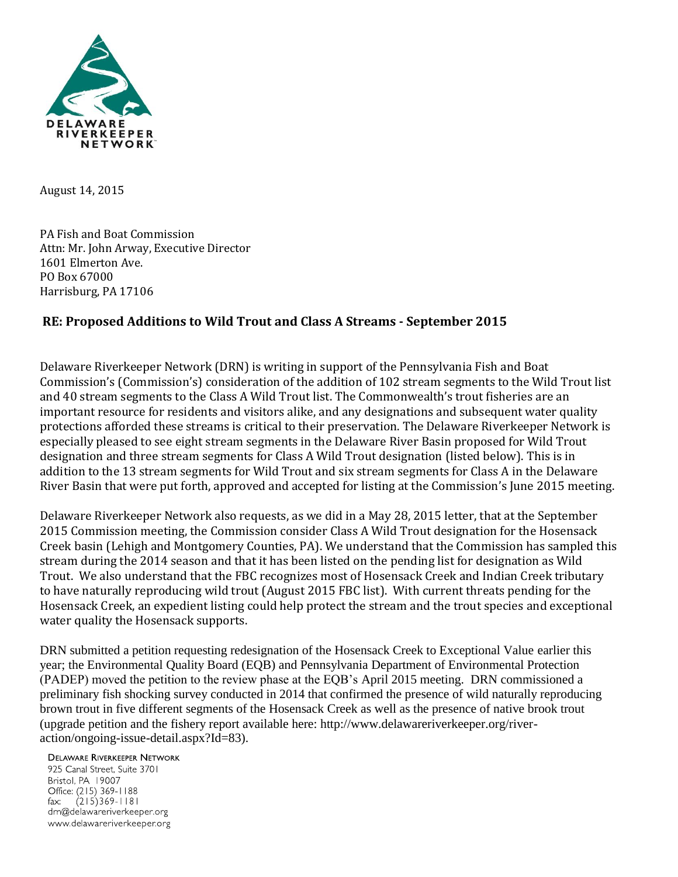

August 14, 2015

PA Fish and Boat Commission Attn: Mr. John Arway, Executive Director 1601 Elmerton Ave. PO Box 67000 Harrisburg, PA 17106

## **RE: Proposed Additions to Wild Trout and Class A Streams - September 2015**

Delaware Riverkeeper Network (DRN) is writing in support of the Pennsylvania Fish and Boat Commission's (Commission's) consideration of the addition of 102 stream segments to the Wild Trout list and 40 stream segments to the Class A Wild Trout list. The Commonwealth's trout fisheries are an important resource for residents and visitors alike, and any designations and subsequent water quality protections afforded these streams is critical to their preservation. The Delaware Riverkeeper Network is especially pleased to see eight stream segments in the Delaware River Basin proposed for Wild Trout designation and three stream segments for Class A Wild Trout designation (listed below). This is in addition to the 13 stream segments for Wild Trout and six stream segments for Class A in the Delaware River Basin that were put forth, approved and accepted for listing at the Commission's June 2015 meeting.

Delaware Riverkeeper Network also requests, as we did in a May 28, 2015 letter, that at the September 2015 Commission meeting, the Commission consider Class A Wild Trout designation for the Hosensack Creek basin (Lehigh and Montgomery Counties, PA). We understand that the Commission has sampled this stream during the 2014 season and that it has been listed on the pending list for designation as Wild Trout. We also understand that the FBC recognizes most of Hosensack Creek and Indian Creek tributary to have naturally reproducing wild trout (August 2015 FBC list). With current threats pending for the Hosensack Creek, an expedient listing could help protect the stream and the trout species and exceptional water quality the Hosensack supports.

DRN submitted a petition requesting redesignation of the Hosensack Creek to Exceptional Value earlier this year; the Environmental Quality Board (EQB) and Pennsylvania Department of Environmental Protection (PADEP) moved the petition to the review phase at the EQB's April 2015 meeting. DRN commissioned a preliminary fish shocking survey conducted in 2014 that confirmed the presence of wild naturally reproducing brown trout in five different segments of the Hosensack Creek as well as the presence of native brook trout (upgrade petition and the fishery report available here: http://www.delawareriverkeeper.org/riveraction/ongoing-issue-detail.aspx?Id=83).

**DELAWARE RIVERKEEPER NETWORK** 

925 Canal Street, Suite 3701 Bristol, PA 19007 Office: (215) 369-1188  $(215)369 - 1181$  $\mathsf{fax:}$ drn@delawareriverkeeper.org www.delawareriverkeeper.org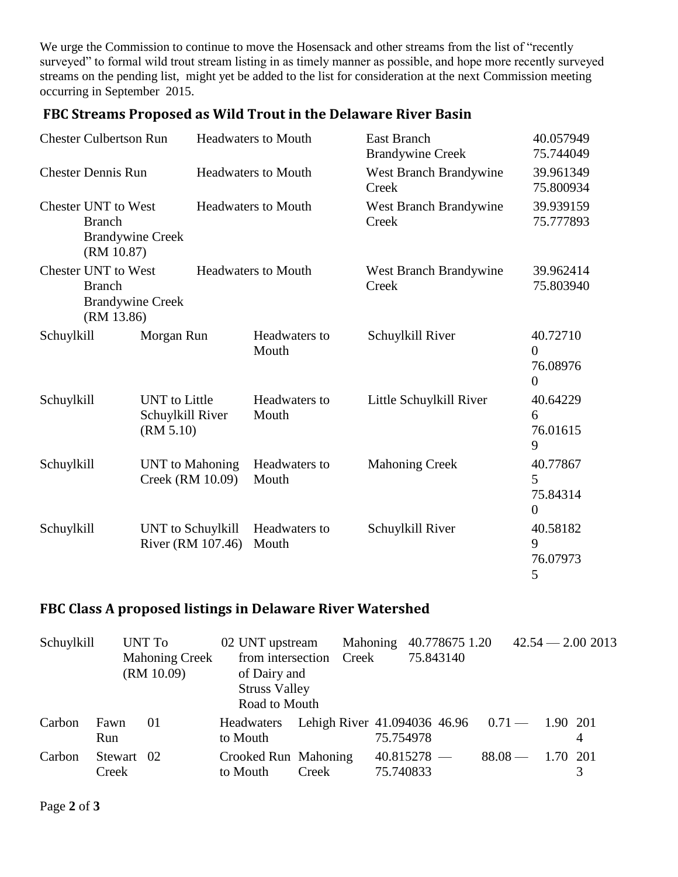We urge the Commission to continue to move the Hosensack and other streams from the list of "recently surveyed" to formal wild trout stream listing in as timely manner as possible, and hope more recently surveyed streams on the pending list, might yet be added to the list for consideration at the next Commission meeting occurring in September 2015.

| <b>Chester Culbertson Run</b>                                                        |                                                                                      | <b>Headwaters to Mouth</b>                            |                            |                        | East Branch<br><b>Brandywine Creek</b> |                               |                                                    |
|--------------------------------------------------------------------------------------|--------------------------------------------------------------------------------------|-------------------------------------------------------|----------------------------|------------------------|----------------------------------------|-------------------------------|----------------------------------------------------|
| <b>Chester Dennis Run</b>                                                            |                                                                                      | <b>Headwaters to Mouth</b>                            |                            | Creek                  | <b>West Branch Brandywine</b>          |                               |                                                    |
|                                                                                      | <b>Chester UNT to West</b><br><b>Branch</b><br><b>Brandywine Creek</b><br>(RM 10.87) |                                                       | <b>Headwaters to Mouth</b> |                        | Creek                                  | West Branch Brandywine        |                                                    |
| <b>Chester UNT to West</b><br><b>Branch</b><br><b>Brandywine Creek</b><br>(RM 13.86) |                                                                                      |                                                       | <b>Headwaters to Mouth</b> |                        | Creek                                  | <b>West Branch Brandywine</b> | 39.962414<br>75.803940                             |
| Schuylkill                                                                           |                                                                                      | Morgan Run                                            |                            | Headwaters to<br>Mouth |                                        | Schuylkill River              | 40.72710<br>$\theta$<br>76.08976<br>$\overline{0}$ |
| Schuylkill                                                                           |                                                                                      | <b>UNT</b> to Little<br>Schuylkill River<br>(RM 5.10) |                            | Headwaters to<br>Mouth |                                        | Little Schuylkill River       | 40.64229<br>6<br>76.01615<br>9                     |
| Schuylkill                                                                           |                                                                                      | <b>UNT</b> to Mahoning<br>Creek (RM 10.09)            |                            | Headwaters to<br>Mouth |                                        | <b>Mahoning Creek</b>         | 40.77867<br>5<br>75.84314<br>$\theta$              |
| Schuylkill                                                                           |                                                                                      | <b>UNT</b> to Schuylkill<br>River (RM 107.46)         |                            | Headwaters to<br>Mouth |                                        | Schuylkill River              |                                                    |

## **FBC Streams Proposed as Wild Trout in the Delaware River Basin**

## **FBC Class A proposed listings in Delaware River Watershed**

| Schuylkill |                     | UNT To<br><b>Mahoning Creek</b><br>(RM 10.09) | 02 UNT upstream<br>of Dairy and<br><b>Struss Valley</b><br>Road to Mouth | from intersection Creek                            |           | Mahoning 40.778675 1.20<br>75.843140 | $42.54 - 2.002013$ |
|------------|---------------------|-----------------------------------------------|--------------------------------------------------------------------------|----------------------------------------------------|-----------|--------------------------------------|--------------------|
| Carbon     | Fawn<br>Run         | 01                                            | Headwaters<br>to Mouth                                                   | Lehigh River $41.094036$ $46.96$ $0.71 - 1.90$ 201 | 75.754978 |                                      | 4                  |
| Carbon     | Stewart 02<br>Creek |                                               | Crooked Run Mahoning<br>to Mouth                                         | Creek                                              | 75.740833 | $40.815278 -$                        | $88.08 - 1.70201$  |